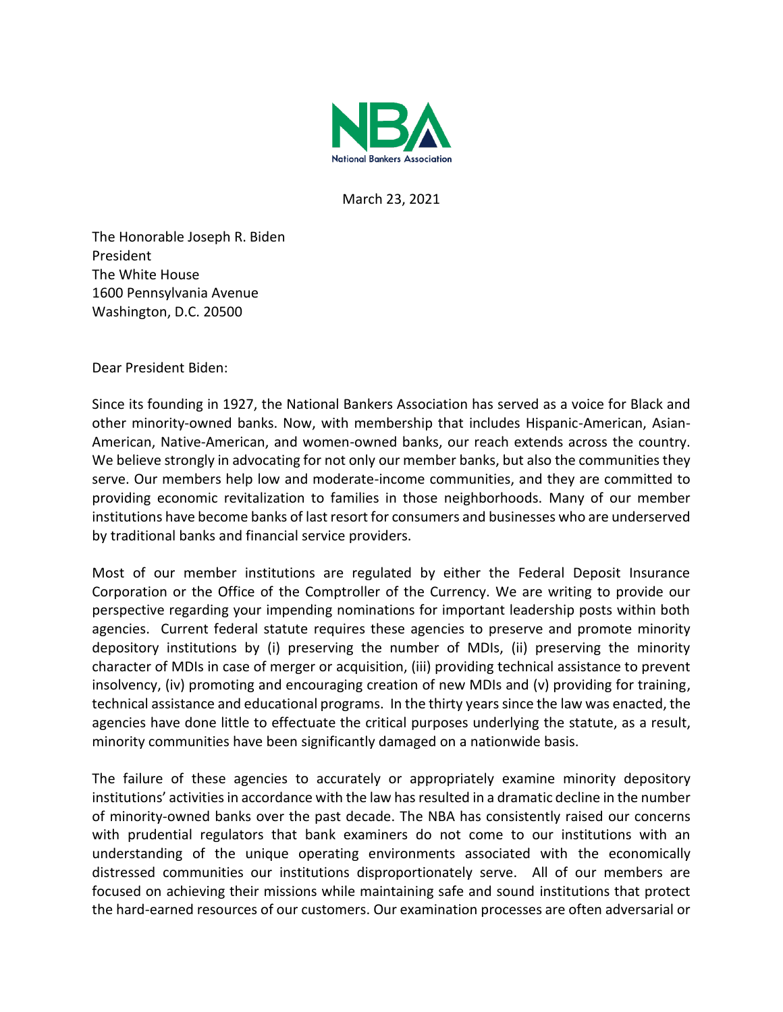

March 23, 2021

The Honorable Joseph R. Biden President The White House 1600 Pennsylvania Avenue Washington, D.C. 20500

Dear President Biden:

Since its founding in 1927, the National Bankers Association has served as a voice for Black and other minority-owned banks. Now, with membership that includes Hispanic-American, Asian-American, Native-American, and women-owned banks, our reach extends across the country. We believe strongly in advocating for not only our member banks, but also the communities they serve. Our members help low and moderate-income communities, and they are committed to providing economic revitalization to families in those neighborhoods. Many of our member institutions have become banks of last resort for consumers and businesses who are underserved by traditional banks and financial service providers.

Most of our member institutions are regulated by either the Federal Deposit Insurance Corporation or the Office of the Comptroller of the Currency. We are writing to provide our perspective regarding your impending nominations for important leadership posts within both agencies. Current federal statute requires these agencies to preserve and promote minority depository institutions by (i) preserving the number of MDIs, (ii) preserving the minority character of MDIs in case of merger or acquisition, (iii) providing technical assistance to prevent insolvency, (iv) promoting and encouraging creation of new MDIs and (v) providing for training, technical assistance and educational programs. In the thirty years since the law was enacted, the agencies have done little to effectuate the critical purposes underlying the statute, as a result, minority communities have been significantly damaged on a nationwide basis.

The failure of these agencies to accurately or appropriately examine minority depository institutions' activities in accordance with the law has resulted in a dramatic decline in the number of minority-owned banks over the past decade. The NBA has consistently raised our concerns with prudential regulators that bank examiners do not come to our institutions with an understanding of the unique operating environments associated with the economically distressed communities our institutions disproportionately serve. All of our members are focused on achieving their missions while maintaining safe and sound institutions that protect the hard-earned resources of our customers. Our examination processes are often adversarial or